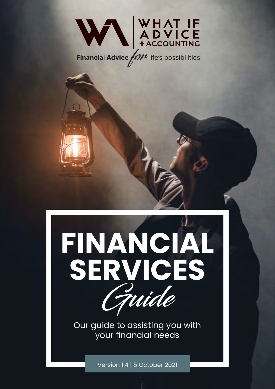



Our guide to assisting you with your financial needs

Version 1.4 | 5 October 2021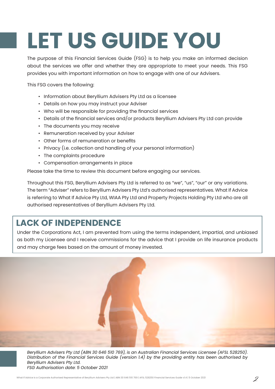# **LET US GUIDE YOU**

The purpose of this Financial Services Guide (FSG) is to help you make an informed decision about the services we offer and whether they are appropriate to meet your needs. This FSG provides you with important information on how to engage with one of our Advisers.

This FSG covers the following:

- Information about Beryllium Advisers Pty Ltd as a licensee
- Details on how you may instruct your Adviser
- Who will be responsible for providing the financial services
- Details of the financial services and/or products Beryllium Advisers Pty Ltd can provide
- The documents you may receive
- Remuneration received by your Adviser
- Other forms of remuneration or benefits
- Privacy (i.e. collection and handling of your personal information)
- The complaints procedure
- Compensation arrangements in place

Please take the time to review this document before engaging our services.

Throughout this FSG, Beryllium Advisers Pty Ltd is referred to as "we", "us", "our" or any variations. The term "Adviser" refers to Beryllium Advisers Pty Ltd's authorised representatives. What If Advice is referring to What If Advice Pty Ltd, WIAA Pty Ltd and Property Projects Holding Pty Ltd who are all authorised representatives of Beryllium Advisers Pty Ltd.

# **LACK OF INDEPENDENCE**

Under the Corporations Act, I am prevented from using the terms independent, impartial, and unbiased as both my Licensee and I receive commissions for the advice that I provide on life insurance products and may charge fees based on the amount of money invested.

*Beryllium Advisers Pty Ltd (ABN 30 646 510 769), is an Australian Financial Services Licensee (AFSL 528250). Distribution of the Financial Services Guide (version 1.4) by the providing entity has been authorised by Beryllium Advisers Pty Ltd. FSG Authorisation date: 5 October 2021*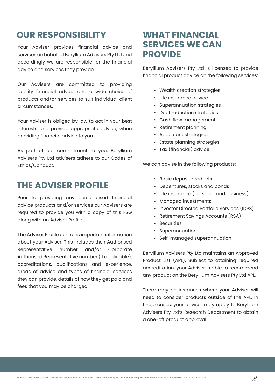# **OUR RESPONSIBILITY WHAT FINANCIAL**

Your Adviser provides financial advice and services on behalf of Beryllium Advisers Pty Ltd and accordingly we are responsible for the financial advice and services they provide.

Our Advisers are committed to providing quality financial advice and a wide choice of products and/or services to suit individual client circumstances.

Your Adviser is obliged by law to act in your best interests and provide appropriate advice, when providing financial advice to you.

As part of our commitment to you, Beryllium Advisers Pty Ltd advisers adhere to our Codes of Ethics/Conduct.

# **THE ADVISER PROFILE**

Prior to providing any personalised financial advice products and/or services our Advisers are required to provide you with a copy of this FSG along with an Adviser Profile.

The Adviser Profile contains important information about your Adviser. This includes their Authorised Representative number and/or Corporate Authorised Representative number (if applicable), accreditations, qualifications and experience, areas of advice and types of financial services they can provide, details of how they get paid and fees that you may be charged.

# **SERVICES WE CAN PROVIDE**

Beryllium Advisers Pty Ltd is licensed to provide financial product advice on the following services:

- Wealth creation strategies
- Life insurance advice
- Superannuation strategies
- Debt reduction strategies
- Cash flow management
- Retirement planning
- Aged care strategies
- Estate planning strategies
- Tax (financial) advice

We can advise in the following products:

- Basic deposit products
- Debentures, stocks and bonds
- Life insurance (personal and business)
- Managed investments
- Investor Directed Portfolio Services (IDPS)
- Retirement Savings Accounts (RSA)
- Securities
- Superannuation
- Self-managed superannuation

Beryllium Advisers Pty Ltd maintains an Approved Product List (APL). Subject to attaining required accreditation, your Adviser is able to recommend any product on the Beryllium Advisers Pty Ltd APL.

There may be instances where your Adviser will need to consider products outside of the APL. In these cases, your adviser may apply to Beryllium Advisers Pty Ltd's Research Department to obtain a one-off product approval.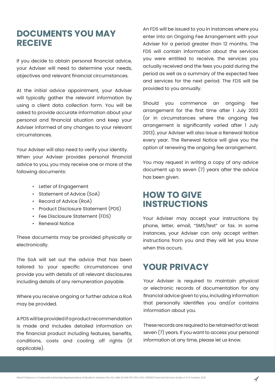# **DOCUMENTS YOU MAY RECEIVE**

If you decide to obtain personal financial advice, your Adviser will need to determine your needs, objectives and relevant financial circumstances.

At the initial advice appointment, your Adviser will typically gather the relevant information by using a client data collection form. You will be asked to provide accurate information about your personal and financial situation and keep your Adviser informed of any changes to your relevant circumstances.

Your Adviser will also need to verify your identity. When your Adviser provides personal financial advice to you, you may receive one or more of the following documents:

- Letter of Engagement
- Statement of Advice (SoA)
- Record of Advice (RoA)
- Product Disclosure Statement (PDS)
- Fee Disclosure Statement (FDS)
- Renewal Notice

These documents may be provided physically or electronically.

The SoA will set out the advice that has been tailored to your specific circumstances and provide you with details of all relevant disclosures including details of any remuneration payable.

Where you receive ongoing or further advice a RoA may be provided.

A PDS will be provided if a product recommendation is made and includes detailed information on the financial product including features, benefits, conditions, costs and cooling off rights (if applicable).

An FDS will be issued to you in instances where you enter into an Ongoing Fee Arrangement with your Adviser for a period greater than 12 months. The FDS will contain information about the services you were entitled to receive, the services you actually received and the fees you paid during the period as well as a summary of the expected fees and services for the next period. The FDS will be provided to you annually.

Should you commence an ongoing fee arrangement for the first time after 1 July 2013 (or in circumstances where the ongoing fee arrangement is significantly varied after 1 July 2013), your Adviser will also issue a Renewal Notice every year. The Renewal Notice will give you the option of renewing the ongoing fee arrangement.

You may request in writing a copy of any advice document up to seven (7) years after the advice has been given.

# **HOW TO GIVE INSTRUCTIONS**

Your Adviser may accept your instructions by phone, letter, email, "SMS/text" or fax. In some instances, your Adviser can only accept written instructions from you and they will let you know when this occurs.

# **YOUR PRIVACY**

Your Adviser is required to maintain physical or electronic records of documentation for any financial advice given to you, including information that personally identifies you and/or contains information about you.

These records are required to be retained for at least seven (7) years. If you want to access your personal information at any time, please let us know.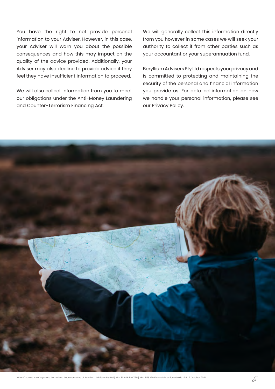You have the right to not provide personal information to your Adviser. However, in this case, your Adviser will warn you about the possible consequences and how this may impact on the quality of the advice provided. Additionally, your Adviser may also decline to provide advice if they feel they have insufficient information to proceed.

We will also collect information from you to meet our obligations under the Anti-Money Laundering and Counter-Terrorism Financing Act.

We will generally collect this information directly from you however in some cases we will seek your authority to collect if from other parties such as your accountant or your superannuation fund.

Beryllium Advisers Pty Ltd respects your privacy and is committed to protecting and maintaining the security of the personal and financial information you provide us. For detailed information on how we handle your personal information, please see our Privacy Policy.

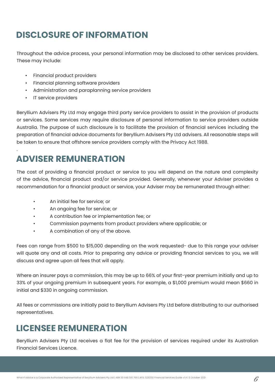# **DISCLOSURE OF INFORMATION**

Throughout the advice process, your personal information may be disclosed to other services providers. These may include:

- Financial product providers
- Financial planning software providers
- Administration and paraplanning service providers
- IT service providers

.

Beryllium Advisers Pty Ltd may engage third party service providers to assist in the provision of products or services. Some services may require disclosure of personal information to service providers outside Australia. The purpose of such disclosure is to facilitate the provision of financial services including the preparation of financial advice documents for Beryllium Advisers Pty Ltd advisers. All reasonable steps will be taken to ensure that offshore service providers comply with the Privacy Act 1988.

# **ADVISER REMUNERATION**

The cost of providing a financial product or service to you will depend on the nature and complexity of the advice, financial product and/or service provided. Generally, whenever your Adviser provides a recommendation for a financial product or service, your Adviser may be remunerated through either:

- An initial fee for service; or
- An ongoing fee for service; or
- A contribution fee or implementation fee; or
- Commission payments from product providers where applicable; or
- A combination of any of the above.

Fees can range from \$500 to \$15,000 depending on the work requested- due to this range your adviser will quote any and all costs. Prior to preparing any advice or providing financial services to you, we will discuss and agree upon all fees that will apply.

Where an insurer pays a commission, this may be up to 66% of your first-year premium initially and up to 33% of your ongoing premium in subsequent years. For example, a \$1,000 premium would mean \$660 in initial and \$330 in ongoing commission.

All fees or commissions are initially paid to Beryllium Advisers Pty Ltd before distributing to our authorised representatives.

# **LICENSEE REMUNERATION**

Beryllium Advisers Pty Ltd receives a flat fee for the provision of services required under its Australian Financial Services Licence.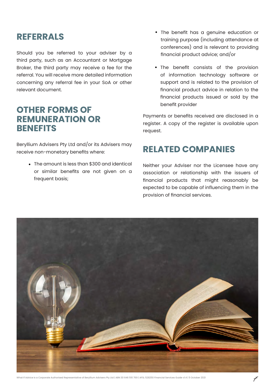# **REFERRALS**

Should you be referred to your adviser by a third party, such as an Accountant or Mortgage Broker, the third party may receive a fee for the referral. You will receive more detailed information concerning any referral fee in your SoA or other relevant document.

# **OTHER FORMS OF REMUNERATION OR BENEFITS**

Beryllium Advisers Pty Ltd and/or its Advisers may receive non-monetary benefits where:

> The amount is less than \$300 and identical or similar benefits are not given on a frequent basis;

- The benefit has a genuine education or training purpose (including attendance at conferences) and is relevant to providing financial product advice; and/or
- The benefit consists of the provision of information technology software or support and is related to the provision of financial product advice in relation to the financial products issued or sold by the benefit provider

Payments or benefits received are disclosed in a register. A copy of the register is available upon request.

# **RELATED COMPANIES**

Neither your Adviser nor the Licensee have any association or relationship with the issuers of financial products that might reasonably be expected to be capable of influencing them in the provision of financial services.

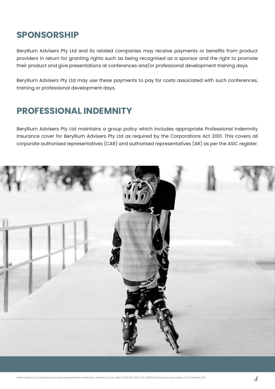# **SPONSORSHIP**

Beryllium Advisers Pty Ltd and its related companies may receive payments or benefits from product providers in return for granting rights such as being recognised as a sponsor and the right to promote their product and give presentations at conferences and/or professional development training days.

Beryllium Advisers Pty Ltd may use these payments to pay for costs associated with such conferences, training or professional development days.

# **PROFESSIONAL INDEMNITY**

Beryllium Advisers Pty Ltd maintains a group policy which includes appropriate Professional Indemnity Insurance cover for Beryllium Advisers Pty Ltd as required by the Corporations Act 2001. This covers all corporate authorised representatives (CAR) and authorised representatives (AR) as per the ASIC register.

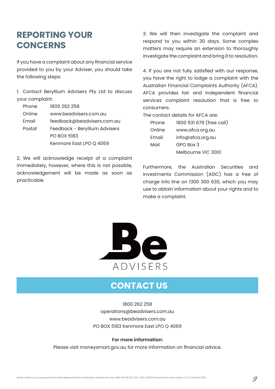# **REPORTING YOUR CONCERNS**

If you have a complaint about any financial service provided to you by your Adviser, you should take the following steps:

1. Contact Beryllium Advisers Pty Ltd to discuss your complaint.

| Phone  | 1800 262 258                  |  |
|--------|-------------------------------|--|
| Online | www.beadvisers.com.au         |  |
| Email  | feedback@beadvisers.com.au    |  |
| Postal | Feedback - Beryllium Advisers |  |
|        | <b>PO BOX 5183</b>            |  |
|        | Kenmore East LPO Q 4069       |  |

2. We will acknowledge receipt of a complaint immediately, however, where this is not possible, acknowledgement will be made as soon as practicable.

3. We will then investigate the complaint and respond to you within 30 days. Some complex matters may require an extension to thoroughly investigate the complaint and bring it to resolution.

4. If you are not fully satisfied with our response, you have the right to lodge a complaint with the Australian Financial Complaints Authority (AFCA). AFCA provides fair and independent financial services complaint resolution that is free to consumers.

The contact details for AFCA are:

| Phone  | 1800 931 678 (free call) |
|--------|--------------------------|
| Online | www.afca.org.au          |
| Email  | info@afca.org.au         |
| Mail   | GPO Box 3                |
|        | Melbourne VIC 3001       |

Furthermore, the Australian Securities and Investments Commission (ASIC) has a free of charge info line on 1300 300 630, which you may use to obtain information about your rights and to make a complaint.



# **CONTACT US**

1800 262 258 operations@beadvisers.com.au www.beadvisers.com.au PO BOX 5183 Kenmore East LPO Q 4069

#### **For more information:**

Please visit moneysmart.gov.au for more information on financial advice.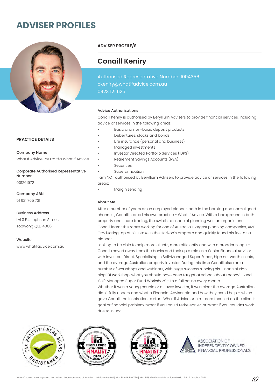# **ADVISER PROFILES**



#### **PRACTICE DETAILS**

What If Advice Pty Ltd t/a What If Advice Company Name

001261972 Corporate Authorised Representative Number

51 621 765 731 Company ABN

Lvl 3 54 Jephson Street, Toowong QLD 4066 Business Address

www.whatifadvice.com.au Website

**ADVISER PROFILE/S**

### **Conaill Keniry**

Authorised Representative Number: 1004356 ckeniry@whatifadvice.com.au 0423 121 625

#### Advice Authorisations

Conaill Keniry is authorised by Beryllium Advisers to provide financial services, including advice or services in the following areas:

- Basic and non-basic deposit products
- Debentures, stocks and bonds
- Life insurance (personal and business)
- Managed investments
	- Investor Directed Portfolio Services (IDPS)
	- Retirement Savings Accounts (RSA)
- **Securities**
- **Superannuation**

I am NOT authorised by Beryllium Advisers to provide advice or services in the following areas:

Margin Lending

#### About Me

After a number of years as an employed planner, both in the banking and non-aligned channels, Conaill started his own practice - What if Advice. With a background in both property and share trading, the switch to financial planning was an organic one. Conaill learnt the ropes working for one of Australia's largest planning companies, AMP. Graduating top of his intake in the Horizon's program and quickly found his feet as a planner.

Looking to be able to help more clients, more efficiently and with a broader scope – Conaill moved away from the banks and took up a role as a Senior Financial Advisor with Investors Direct. Specialising in Self-Managed Super Funds, high net worth clients, and the average Australian property investor. During this time Conaill also ran a number of workshops and webinars, with huge success running his 'Financial Planning 101 workshop: what you should have been taught at school about money' – and 'Self-Managed Super Fund Workshop' – to a full house every month.

Whether it was a young couple or a savvy investor, it was clear the average Australian didn't fully understand what a Financial Adviser did and how they could help – which gave Conaill the inspiration to start 'What if Advice'. A firm more focused on the client's goal or financial problem. 'What if you could retire earlier' or 'What if you couldn't work due to injury'.







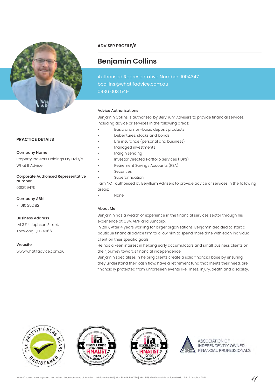

#### **PRACTICE DETAILS**

Property Projects Holdings Pty Ltd t/a What If Advice Company Name

001259475 Corporate Authorised Representative Number

71 610 252 821 Company ABN

Website

Lvl 3 54 Jephson Street, Toowong QLD 4066 Business Address

www.whatifadvice.com.au

**ADVISER PROFILE/S**

# **Benjamin Collins**

Authorised Representative Number: 1004347 bcollins@whatifadvice.com.au 0436 003 549

#### Advice Authorisations

Benjamin Collins is authorised by Beryllium Advisers to provide financial services, including advice or services in the following areas:

- Basic and non-basic deposit products
- Debentures, stocks and bonds
- Life insurance (personal and business)
- Managed investments
- Margin Lending
- Investor Directed Portfolio Services (IDPS)
- Retirement Savings Accounts (RSA)
- **Securities**
- **Superannuation**

I am NOT authorised by Beryllium Advisers to provide advice or services in the following areas:

• None

#### About Me

Benjamin has a wealth of experience in the financial services sector through his experience at CBA, AMP and Suncorp.

In 2017, After 4 years working for larger organisations, Benjamin decided to start a boutique financial advice firm to allow him to spend more time with each individual client on their specific goals.

He has a keen interest in helping early accumulators and small business clients on their journey towards financial independence.

Benjamin specialises in helping clients create a solid financial base by ensuring they understand their cash flow, have a retirement fund that meets their need, are financially protected from unforeseen events like illness, injury, death and disability.







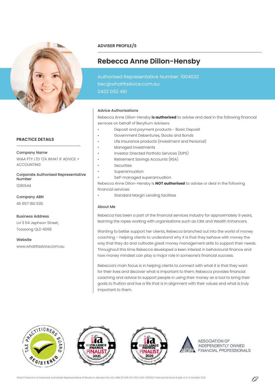

#### **PRACTICE DETAILS**

WIAA PTY LTD T/A WHAT IF ADVICE + ACCOUNTING Company Name

1295544 Corporate Authorised Representative Number

45 657 180 535 Company ABN

Lvl 3 54 Jephson Street, Toowong QLD 4066 Business Address

www.whatifadvice.com.au Website

#### **ADVISER PROFILE/S**

## **Rebecca Anne Dillon-Hensby**

Authorised Representative Number: 1004032 bec@whatifadvice.com.au 0422 092 481

#### Advice Authorisations

Rebecca Anne Dillon-Hensby **is authorised** to advise and deal in the following financial services on behalf of Beryllium Advisers:

- Deposit and payment products Basic Deposit
- Government Debentures, Stocks and Bonds
- Life insurance products (Investment and Personal)
- Managed investments
- Investor Directed Portfolio Services (IDPS)
- Retirement Savings Accounts (RSA)
- **Securities**
- **Superannuation** 
	- Self-managed superannuation

Rebecca Anne Dillon-Hensby is **NOT authorised** to advise or deal in the following financial services:

• Standard Margin Lending facilities

#### About Me

Rebecca has been a part of the financial services industry for approximately 9 years, learning the ropes working with organisations such as CBA and Wealth Enhancers.

Wanting to better support her clients, Rebecca branched out into the world of money coaching – helping clients to understand why it is that they behave with money the way that they do and cultivate great money management skills to support their needs. Throughout this time Rebecca developed a keen interest in behavioural finance and how money mindset can play a major role in someone's financial success.

Rebecca's main focus is in helping clients to connect with what it is that they want for their lives and discover what is important to them. Rebecca provides financial coaching and advice to support people in using their money as a tool to bring their goals to fruition and live a life that is in alignment with their values and what is truly important to them.







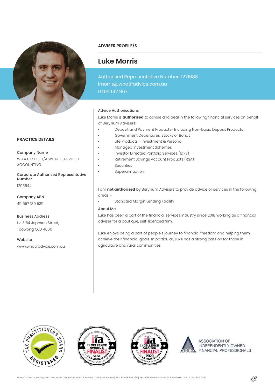

#### **PRACTICE DETAILS**

WIAA PTY LTD T/A WHAT IF ADVICE + ACCOUNTING Company Name

1295544 Corporate Authorised Representative Number

45 657 180 535 Company ABN

Lvl 3 54 Jephson Street, Toowong QLD 4066 Business Address

www.whatifadvice.com.au Website

#### **ADVISER PROFILE/S**

# **Luke Morris**

Authorised Representative Number: 1271688 lmorris@whatifadvice.com.au 0404 512 967

#### Advice Authorisations

Luke Morris is **authorised** to advise and deal in the following financial services on behalf of Beryllium Advisers:

- Deposit and Payment Products- Including Non-basic Deposit Products
- Government Debentures, Stocks or Bonds
- Life Products Investment & Personal
- Managed Investment Schemes
	- Investor Directed Portfolio Services (IDPS)
- Retirement Savings Account Products (RSA)
- **Securities**
- **Superannuation**

I am **not authorised** by Beryllium Advisers to provide advice or services in the following areas: •

• Standard Margin Lending Facility

#### About Me

Luke has been a part of the financial services industry since 2018 working as a financial adviser for a boutique, self-licenced firm.

Luke enjoys being a part of people's journey to financial freedom and helping them achieve their financial goals. In particular, Luke has a strong passion for those in agriculture and rural communities.